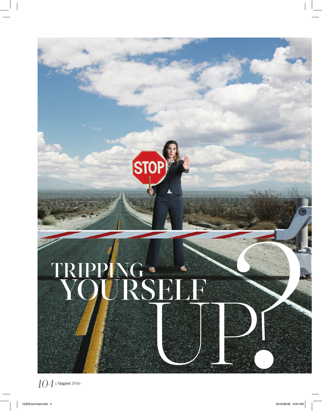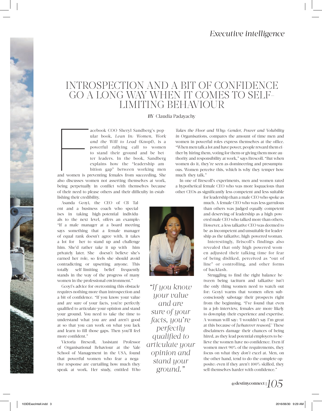### INTROSPECTION AND A BIT OF CONFIDENCE GO A LONG WAY WHEN IT COMES TO SELF-LIMITING BEHAVIOUR

#### *BY* Claudia Padayachy

acebook COO Sheryl Sandberg's popular book, *Lean In: Women, Work and the Will to Lead* (Knopf), is a powerful rallying call to women to stand their ground and be better leaders. In the book, Sandberg explains how the "leadership ambition gap" between working men

and women is p and women is preventing females from succeeding. She also discusses women not asserting themselves at work, being perpetually in conflict with themselves because of their need to please others and their difficulty in establishing their credibility.

Asanda Gcoyi, the CEO of CB Talent and a business coach who specialises in taking high-potential individuals to the next level, offers an example: "If a male manager at a board meeting says something that a female manager of equal rank doesn't agree with, it takes a lot for her to stand up and challenge him. She'd rather take it up with him privately later. She doesn't believe she's earned her role, so feels she should avoid contradicting or upsetting anyone. This totally self-limiting belief frequently stands in the way of the progress of many women in the professional environment."

Gcoyi's advice for overcoming this obstacle requires nothing more than introspection and a bit of confidence. "If you know your value and are sure of your facts, you're perfectly qualified to articulate your opinion and stand your ground. You need to take the time to understand what you are and aren't good at so that you can work on what you lack and learn to fill those gaps. Then you'll feel more confident." **Example the control of the stand was the control of the stand and the control of the stand of the standard of the standard of the properties of the properties of the properties of the properties of the properties of the p** 

Victoria Brescoll, Assistant Professor of Organisational Behaviour at the Yale School of Management in the USA, found that powerful women who fear a negative response are curtailing how much they speak at work. Her study, entitled *Who* 

*Takes the Floor and Why: Gender, Power and Volubility in Organisations,* compares the amount of time men and women in powerful roles express themselves at the office. "When men talk a lot and have power, people reward them either by hiring them, voting for them or giving them more authority and responsibility at work," says Brescoll. "But when women do it, they're seen as domineering and presumptuous. Women perceive this, which is why they temper how much they talk."

In one of Brescoll's experiments, men and women rated a hypothetical female CEO who was more loquacious than other CEOs as significantly less competent and less suitable

for leadership than a male CEO who spoke as much. A female CEO who was less garrulous than others was judged equally competent and deserving of leadership as a high-powered male CEO who talked more than others. However, a less talkative CEO was deemed to be as incompetent and unsuitable for leadership as the talkative, high-powered woman.

Interestingly, Briscoll's findings also revealed that only high-powered women adjusted their talking time for fear of being disliked, perceived as "out of line" or controlling, and other forms of backlash.

Struggling to find the right balance between being taciturn and talkative isn't the only thing women need to watch out for: Gcoyi warns that women often subconsciously sabotage their prospects right from the beginning. "I've found that even in a job interview, females are more likely to downplay their experience and expertise. A woman will say: 'I wouldn't say I'm great at this because of *[whatever reason].*' These disclaimers damage their chances of being hired, as they lead potential employers to believe the women have no confidence. Even if women meet 90% of the requirements, they focus on what they *don't* excel at. Men, on the other hand, tend to do the complete opposite: even if they aren't 100% skilled, they sell themselves harder with confidence."

*"If you know your value and are sure of your facts, you're perfectly qualified to articulate your opinion and*